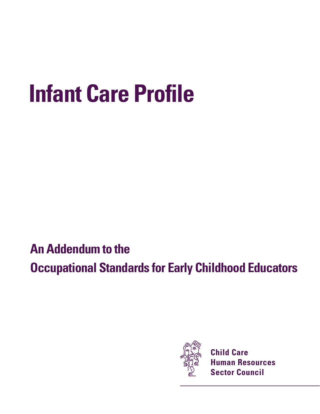# **Infant Care Profile**

# **An Addendum to the Occupational Standards for Early Childhood Educators**



**Child Care Human Resources Sector Council**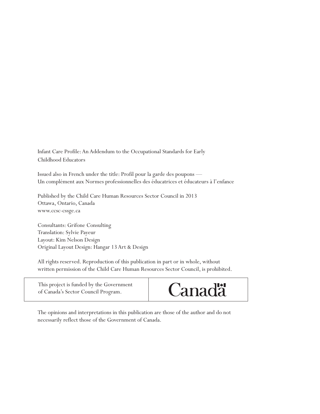Infant Care Profile: An Addendum to the Occupational Standards for Early Childhood Educators

Issued also in French under the title: Profil pour la garde des poupons — Un complément aux Normes professionnelles des éducatrices et éducateurs à l'enfance

Published by the Child Care Human Resources Sector Council in 2013 Ottawa, Ontario, Canada www.ccsc-cssge.ca

Consultants: Grifone Consulting Translation: Sylvie Payeur Layout: Kim Nelson Design Original Layout Design: Hangar 13 Art & Design

All rights reserved. Reproduction of this publication in part or in whole, without written permission of the Child Care Human Resources Sector Council, is prohibited.

This project is funded by the Government of Canada's Sector Council Program.



The opinions and interpretations in this publication are those of the author and do not necessarily reflect those of the Government of Canada.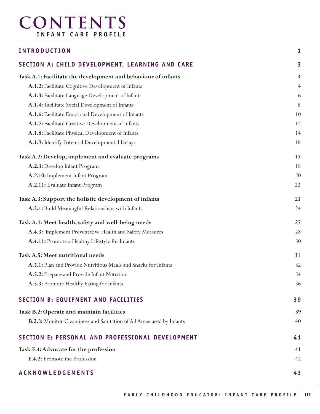# **CONTENTS INFANT CARE PROFILE**

| <b>INTRODUCTION</b>                                                    | 1  |
|------------------------------------------------------------------------|----|
| SECTION A: CHILD DEVELOPMENT, LEARNING AND CARE                        | 3  |
| Task A.1: Facilitate the development and behaviour of infants          | 3  |
| A.1.2: Facilitate Cognitive Development of Infants                     | 4  |
| A.1.3: Facilitate Language Development of Infants                      | 6  |
| A.1.4: Facilitate Social Development of Infants                        | 8  |
| A.1.6: Facilitate Emotional Development of Infants                     | 10 |
| A.1.7: Facilitate Creative Development of Infants                      | 12 |
| A.1.8: Facilitate Physical Development of Infants                      | 14 |
| A.1.9: Identify Potential Developmental Delays                         | 16 |
| Task A.2: Develop, implement and evaluate programs                     | 17 |
| A.2.3: Develop Infant Program                                          | 18 |
| A.2.10: Implement Infant Program                                       | 20 |
| A.2.11: Evaluate Infant Program                                        | 22 |
| Task A.3: Support the holistic development of infants                  | 23 |
| A.3.1: Build Meaningful Relationships with Infants                     | 24 |
| Task A.4: Meet health, safety and well-being needs                     | 27 |
| A.4.3: Implement Preventative Health and Safety Measures               | 28 |
| A.4.11: Promote a Healthy Lifestyle for Infants                        | 30 |
| Task A.5: Meet nutritional needs                                       | 31 |
| A.5.1: Plan and Provide Nutritious Meals and Snacks for Infants        | 32 |
| A.5.2: Prepare and Provide Infant Nutrition                            | 34 |
| A.5.3: Promote Healthy Eating for Infants                              | 36 |
| <b>SECTION B: EQUIPMENT AND FACILITIES</b>                             | 39 |
| Task B.2: Operate and maintain facilities                              | 39 |
| B.2.3: Monitor Cleanliness and Sanitation of All Areas used by Infants | 40 |
| SECTION E: PERSONAL AND PROFESSIONAL DEVELOPMENT                       | 41 |
| Task E.4: Advocate for the profession                                  | 41 |
| E.4.2: Promote the Profession                                          | 42 |
| <b>ACKNOWLEDGEMENTS</b>                                                | 43 |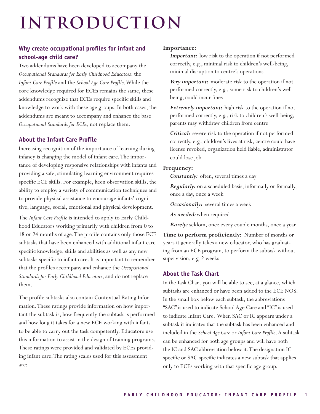# **INTRODUCTION**

### **Why create occupational profiles for infant and school-age child care?**

Two addendums have been developed to accompany the *Occupational Standards for Early Childhood Educators*: the *Infant Care Profile* and the *School Age Care Profile*. While the core knowledge required for ECEs remains the same, these addendums recognize that ECEs require specific skills and knowledge to work with these age groups. In both cases, the addendums are meant to accompany and enhance the base *Occupational Standards for ECEs*, not replace them.

### **About the Infant Care Profile**

Increasing recognition of the importance of learning during infancy is changing the model of infant care. The importance of developing responsive relationships with infants and providing a safe, stimulating learning environment requires specific ECE skills. For example, keen observation skills, the ability to employ a variety of communication techniques and to provide physical assistance to encourage infants' cognitive, language, social, emotional and physical development.

The *Infant Care Profile* is intended to apply to Early Childhood Educators working primarily with children from 0 to 18 or 24 months of age. The profile contains only those ECE subtasks that have been enhanced with additional infant care specific knowledge, skills and abilities as well as any new subtasks specific to infant care. It is important to remember that the profiles accompany and enhance the *Occupational Standards for Early Childhood Educators*, and do not replace them.

The profile subtasks also contain Contextual Rating Information. These ratings provide information on how important the subtask is, how frequently the subtask is performed and how long it takes for a new ECE working with infants to be able to carry out the task competently. Educators use this information to assist in the design of training programs. These ratings were provided and validated by ECEs providing infant care. The rating scales used for this assessment are:

### **Importance:**

*Important:* low risk to the operation if not performed correctly, e.g., minimal risk to children's well-being, minimal disruption to centre's operations

*Very important:* moderate risk to the operation if not performed correctly, e.g., some risk to children's wellbeing, could incur fines

*Extremely important:* high risk to the operation if not performed correctly, e.g., risk to children's well-being, parents may withdraw children from centre

*Critical:* severe risk to the operation if not performed correctly, e.g., children's lives at risk, centre could have license revoked, organization held liable, administrator could lose job

### **Frequency:**

*Constantly:* often, several times a day

*Regularly:* on a scheduled basis, informally or formally, once a day, once a week

*Occasionally:* several times a week

*As needed:* when required

*Rarely:* seldom, once every couple months, once a year

**Time to perform proficiently:** Number of months or years it generally takes a new educator, who has graduating from an ECE program, to perform the subtask without supervision, e.g. 2 weeks

### **About the Task Chart**

In the Task Chart you will be able to see, at a glance, which subtasks are enhanced or have been added to the ECE NOS. In the small box below each subtask, the abbreviations "SAC" is used to indicate School Age Care and "IC" is used to indicate Infant Care. When SAC or IC appears under a subtask it indicates that the subtask has been enhanced and included in the *School Age Care* or *Infant Care Profile*. A subtask can be enhanced for both age groups and will have both the IC and SAC abbreviation below it. The designation IC specific or SAC specific indicates a new subtask that applies only to ECEs working with that specific age group.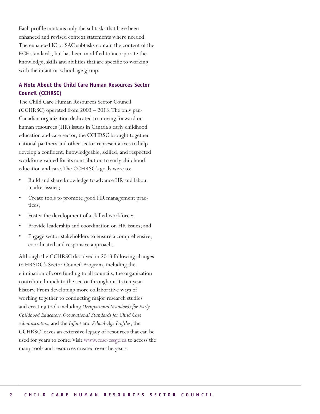Each profile contains only the subtasks that have been enhanced and revised context statements where needed. The enhanced IC or SAC subtasks contain the content of the ECE standards, but has been modified to incorporate the knowledge, skills and abilities that are specific to working with the infant or school age group.

### **A Note About the Child Care Human Resources Sector Council (CCHRSC)**

The Child Care Human Resources Sector Council (CCHRSC) operated from 2003 – 2013. The only pan-Canadian organization dedicated to moving forward on human resources (HR) issues in Canada's early childhood education and care sector, the CCHRSC brought together national partners and other sector representatives to help develop a confident, knowledgeable, skilled, and respected workforce valued for its contribution to early childhood education and care. The CCHRSC's goals were to:

- Build and share knowledge to advance HR and labour market issues;
- Create tools to promote good HR management practices;
- Foster the development of a skilled workforce;
- Provide leadership and coordination on HR issues; and
- Engage sector stakeholders to ensure a comprehensive, coordinated and responsive approach.

Although the CCHRSC dissolved in 2013 following changes to HRSDC's Sector Council Program, including the elimination of core funding to all councils, the organization contributed much to the sector throughout its ten year history. From developing more collaborative ways of working together to conducting major research studies and creating tools including *Occupational Standards for Early Childhood Educators, Occupational Standards for Child Care Administrators*, and the *Infant* and *School-Age Profiles*, the CCHRSC leaves an extensive legacy of resources that can be used for years to come. Visit [www.ccsc-cssge.ca](http://www.ccsc-cssge.ca) to access the many tools and resources created over the years.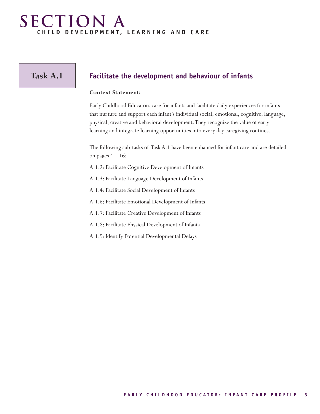# **SECTION A CHILD DE V ELOP M ENT, LEARNIN G A N D C A R E**

# **Task A.1 Facilitate the development and behaviour of infants**

### **Context Statement:**

Early Childhood Educators care for infants and facilitate daily experiences for infants that nurture and support each infant's individual social, emotional, cognitive, language, physical, creative and behavioral development. They recognize the value of early learning and integrate learning opportunities into every day caregiving routines.

The following sub-tasks of Task A.1 have been enhanced for infant care and are detailed on pages  $4 - 16$ :

- A.1.2: Facilitate Cognitive Development of Infants
- A.1.3: Facilitate Language Development of Infants
- A.1.4: Facilitate Social Development of Infants
- A.1.6: Facilitate Emotional Development of Infants
- A.1.7: Facilitate Creative Development of Infants
- A.1.8: Facilitate Physical Development of Infants
- A.1.9: Identify Potential Developmental Delays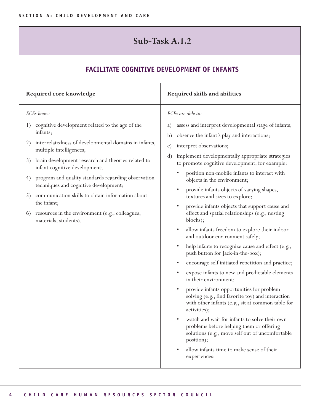# **Sub-Task A.1.2**

|  | <b>FACILITATE COGNITIVE DEVELOPMENT OF INFANTS</b> |  |
|--|----------------------------------------------------|--|
|  |                                                    |  |

| Required core knowledge                                                                                                                                                                                                                                                                                                                                                                                                                                                                                                                 | <b>Required skills and abilities</b>                                                                                                                                                                                                                                                                                                                                                                                                                                                                                                                                                                                                                                                                                                                                                                                                                                                                                                                                                                                                                                                                                                                                                                                                                                                                                                                                                |
|-----------------------------------------------------------------------------------------------------------------------------------------------------------------------------------------------------------------------------------------------------------------------------------------------------------------------------------------------------------------------------------------------------------------------------------------------------------------------------------------------------------------------------------------|-------------------------------------------------------------------------------------------------------------------------------------------------------------------------------------------------------------------------------------------------------------------------------------------------------------------------------------------------------------------------------------------------------------------------------------------------------------------------------------------------------------------------------------------------------------------------------------------------------------------------------------------------------------------------------------------------------------------------------------------------------------------------------------------------------------------------------------------------------------------------------------------------------------------------------------------------------------------------------------------------------------------------------------------------------------------------------------------------------------------------------------------------------------------------------------------------------------------------------------------------------------------------------------------------------------------------------------------------------------------------------------|
| ECEs know:<br>cognitive development related to the age of the<br>1)<br>infants;<br>interrelatedness of developmental domains in infants,<br>2)<br>multiple intelligences;<br>brain development research and theories related to<br>3)<br>infant cognitive development;<br>program and quality standards regarding observation<br>4)<br>techniques and cognitive development;<br>communication skills to obtain information about<br>5)<br>the infant;<br>resources in the environment (e.g., colleagues,<br>6)<br>materials, students). | ECEs are able to:<br>assess and interpret developmental stage of infants;<br>a)<br>observe the infant's play and interactions;<br>b)<br>interpret observations;<br>$\mathbf{C}$<br>implement developmentally appropriate strategies<br>d)<br>to promote cognitive development, for example:<br>position non-mobile infants to interact with<br>objects in the environment;<br>provide infants objects of varying shapes,<br>$\bullet$<br>textures and sizes to explore;<br>provide infants objects that support cause and<br>$\bullet$<br>effect and spatial relationships (e.g., nesting<br>blocks);<br>allow infants freedom to explore their indoor<br>$\bullet$<br>and outdoor environment safely;<br>help infants to recognize cause and effect (e.g.,<br>$\bullet$<br>push button for Jack-in-the-box);<br>encourage self initiated repetition and practice;<br>$\bullet$<br>expose infants to new and predictable elements<br>$\bullet$<br>in their environment;<br>provide infants opportunities for problem<br>$\bullet$<br>solving (e.g., find favorite toy) and interaction<br>with other infants (e.g., sit at common table for<br>activities);<br>watch and wait for infants to solve their own<br>problems before helping them or offering<br>solutions (e.g., move self out of uncomfortable<br>position);<br>allow infants time to make sense of their<br>$\bullet$ |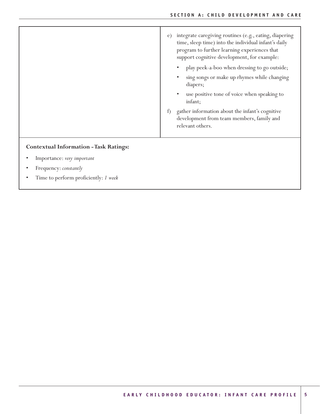|                                               | integrate caregiving routines (e.g., eating, diapering<br>e)<br>time, sleep time) into the individual infant's daily<br>program to further learning experiences that<br>support cognitive development, for example: |
|-----------------------------------------------|---------------------------------------------------------------------------------------------------------------------------------------------------------------------------------------------------------------------|
|                                               | play peek-a-boo when dressing to go outside;<br>$\bullet$                                                                                                                                                           |
|                                               | sing songs or make up rhymes while changing<br>diapers;                                                                                                                                                             |
|                                               | use positive tone of voice when speaking to<br>infant;                                                                                                                                                              |
|                                               | gather information about the infant's cognitive<br>$\ddot{\phantom{1}}$<br>development from team members, family and<br>relevant others.                                                                            |
| <b>Contextual Information - Task Ratings:</b> |                                                                                                                                                                                                                     |

- Importance: *very important*
- Frequency: *constantly*
- Time to perform proficiently: *1 week*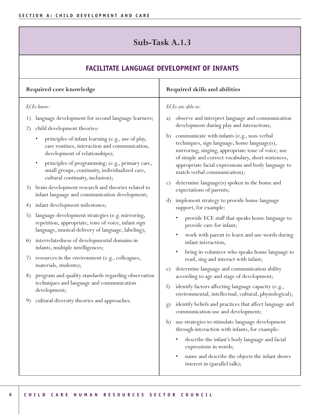# **Sub-Task A.1.3**

# **FACILITATE LANGUAGE DEVELOPMENT OF INFANTS**

| Required core knowledge                                                                                                                                                                                                                                                                                                                                                                                                                                                                                                                                                                                                                                                                                                                                                                                                                                                                                                                                                                                                                                                                  | Required skills and abilities                                                                                                                                                                                                                                                                                                                                                                                                                                                                                                                                                                                                                                                                                                                                                                                                                                                                                                                                                                                                                                                                                                                                                                                                                                                                                                                                                                                                                                          |
|------------------------------------------------------------------------------------------------------------------------------------------------------------------------------------------------------------------------------------------------------------------------------------------------------------------------------------------------------------------------------------------------------------------------------------------------------------------------------------------------------------------------------------------------------------------------------------------------------------------------------------------------------------------------------------------------------------------------------------------------------------------------------------------------------------------------------------------------------------------------------------------------------------------------------------------------------------------------------------------------------------------------------------------------------------------------------------------|------------------------------------------------------------------------------------------------------------------------------------------------------------------------------------------------------------------------------------------------------------------------------------------------------------------------------------------------------------------------------------------------------------------------------------------------------------------------------------------------------------------------------------------------------------------------------------------------------------------------------------------------------------------------------------------------------------------------------------------------------------------------------------------------------------------------------------------------------------------------------------------------------------------------------------------------------------------------------------------------------------------------------------------------------------------------------------------------------------------------------------------------------------------------------------------------------------------------------------------------------------------------------------------------------------------------------------------------------------------------------------------------------------------------------------------------------------------------|
| ECEs know:                                                                                                                                                                                                                                                                                                                                                                                                                                                                                                                                                                                                                                                                                                                                                                                                                                                                                                                                                                                                                                                                               | ECEs are able to:                                                                                                                                                                                                                                                                                                                                                                                                                                                                                                                                                                                                                                                                                                                                                                                                                                                                                                                                                                                                                                                                                                                                                                                                                                                                                                                                                                                                                                                      |
| language development for second language learners;<br>1)<br>child development theories:<br>2)<br>principles of infant learning (e.g., use of play,<br>٠<br>care routines, interaction and communication,<br>development of relationships);<br>principles of programming; (e.g., primary care,<br>$\bullet$<br>small groups, continuity, individualized care,<br>cultural continuity, inclusion);<br>brain development research and theories related to<br>3)<br>infant language and communication development;<br>infant development milestones;<br>4)<br>language development strategies (e.g. mirroring,<br>5)<br>repetition, appropriate, tone of voice, infant sign<br>language, musical delivery of language, labeling);<br>interrelatedness of developmental domains in<br>6)<br>infants, multiple intelligences;<br>resources in the environment (e.g., colleagues,<br>7)<br>materials, students);<br>program and quality standards regarding observation<br>8)<br>techniques and language and communication<br>development;<br>cultural diversity theories and approaches.<br>9) | observe and interpret language and communication<br>a)<br>development during play and interactions;<br>communicate with infants (e.g., non-verbal<br>b)<br>techniques, sign language, home language(s),<br>mirroring, singing, appropriate tone of voice, use<br>of simple and correct vocabulary, short sentences,<br>appropriate facial expressions and body language to<br>match verbal communication);<br>determine language(s) spoken in the home and<br>$\mathcal{C}$ )<br>expectations of parents;<br>implement strategy to provide home language<br>d)<br>support, for example:<br>provide ECE staff that speaks home language to<br>٠<br>provide care for infant;<br>work with parent to learn and use words during<br>٠<br>infant interaction;<br>bring in volunteer who speaks home language to<br>read, sing and interact with infant;<br>determine language and communication ability<br>e)<br>according to age and stage of development;<br>f<br>identify factors affecting language capacity (e.g.,<br>environmental, intellectual, cultural, physiological);<br>identify beliefs and practices that affect language and<br>$\mathbf{g}$<br>communication use and development;<br>use strategies to stimulate language development<br>h)<br>through interaction with infants, for example:<br>describe the infant's body language and facial<br>expressions in words;<br>name and describe the objects the infant shows<br>interest in (parallel talk); |
|                                                                                                                                                                                                                                                                                                                                                                                                                                                                                                                                                                                                                                                                                                                                                                                                                                                                                                                                                                                                                                                                                          |                                                                                                                                                                                                                                                                                                                                                                                                                                                                                                                                                                                                                                                                                                                                                                                                                                                                                                                                                                                                                                                                                                                                                                                                                                                                                                                                                                                                                                                                        |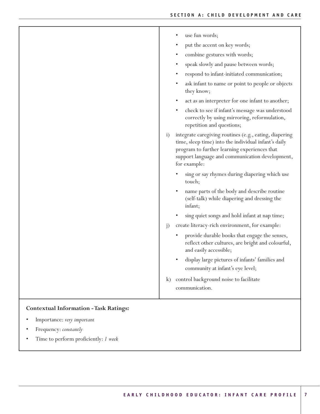| use fun words;<br>put the accent on key words;<br>combine gestures with words;<br>$\bullet$<br>speak slowly and pause between words;<br>٠<br>respond to infant-initiated communication;<br>$\bullet$<br>ask infant to name or point to people or objects<br>$\bullet$<br>they know; |
|-------------------------------------------------------------------------------------------------------------------------------------------------------------------------------------------------------------------------------------------------------------------------------------|
| act as an interpreter for one infant to another;<br>check to see if infant's message was understood<br>$\bullet$<br>correctly by using mirroring, reformulation,<br>repetition and questions;                                                                                       |
| integrate caregiving routines (e.g., eating, diapering<br>$\mathbf{i}$<br>time, sleep time) into the individual infant's daily<br>program to further learning experiences that<br>support language and communication development,<br>for example:                                   |
| sing or say rhymes during diapering which use<br>touch;<br>name parts of the body and describe routine                                                                                                                                                                              |
| (self-talk) while diapering and dressing the<br>infant;<br>sing quiet songs and hold infant at nap time;                                                                                                                                                                            |
| create literacy-rich environment, for example:<br>j)                                                                                                                                                                                                                                |
| provide durable books that engage the senses,<br>reflect other cultures, are bright and colourful,<br>and easily accessible;                                                                                                                                                        |
| display large pictures of infants' families and<br>community at infant's eye level;                                                                                                                                                                                                 |
| control background noise to facilitate<br>$\bf k$<br>communication.                                                                                                                                                                                                                 |
|                                                                                                                                                                                                                                                                                     |

- Importance: *very important*
- Frequency: *constantly*
- Time to perform proficiently: *1 week*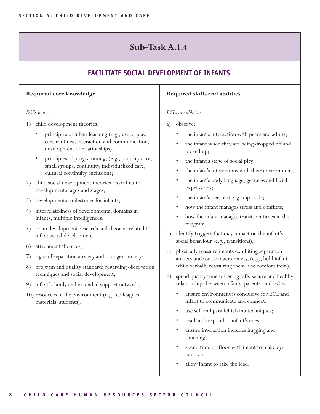# **Sub-Task A.1.4**

|  | <b>FACILITATE SOCIAL DEVELOPMENT OF INFANTS</b> |  |
|--|-------------------------------------------------|--|
|--|-------------------------------------------------|--|

| Required core knowledge                                                                                                                            | Required skills and abilities                                                                                                                                                                                                                                                                                                                                                  |
|----------------------------------------------------------------------------------------------------------------------------------------------------|--------------------------------------------------------------------------------------------------------------------------------------------------------------------------------------------------------------------------------------------------------------------------------------------------------------------------------------------------------------------------------|
| ECEs know:<br>child development theories:<br>1)                                                                                                    | ECEs are able to:<br>observe:<br>a)                                                                                                                                                                                                                                                                                                                                            |
| principles of infant learning (e.g., use of play,<br>care routines, interaction and communication,<br>development of relationships);               | the infant's interaction with peers and adults;<br>the infant when they are being dropped off and<br>picked up;                                                                                                                                                                                                                                                                |
| principles of programming; (e.g., primary care,<br>$\bullet$<br>small groups, continuity, individualized care,<br>cultural continuity, inclusion); | the infant's stage of social play;<br>٠<br>the infant's interactions with their environment;<br>٠                                                                                                                                                                                                                                                                              |
| child social development theories according to<br>2)<br>developmental ages and stages;                                                             | the infant's body language, gestures and facial<br>expressions;                                                                                                                                                                                                                                                                                                                |
| developmental milestones for infants;<br>3)                                                                                                        | the infant's peer entry group skills;<br>٠                                                                                                                                                                                                                                                                                                                                     |
| interrelatedness of developmental domains in<br>$^{(4)}$<br>infants, multiple intelligences;                                                       | how the infant manages stress and conflicts;<br>how the infant manages transition times in the                                                                                                                                                                                                                                                                                 |
| brain development research and theories related to<br>5)<br>infant social development;                                                             | program;<br>identify triggers that may impact on the infant's<br>b)<br>social behaviour (e.g., transitions);                                                                                                                                                                                                                                                                   |
| attachment theories;<br>6)                                                                                                                         | physically reassure infants exhibiting separation<br>$\mathbf{C}$                                                                                                                                                                                                                                                                                                              |
| signs of separation anxiety and stranger anxiety;<br>7)<br>program and quality standards regarding observation<br>8)                               | anxiety and/or stranger anxiety, (e.g., hold infant<br>while verbally reassuring them, use comfort item);                                                                                                                                                                                                                                                                      |
| techniques and social development;                                                                                                                 | spend quality time fostering safe, secure and healthy<br>d)                                                                                                                                                                                                                                                                                                                    |
| infant's family and extended support network;<br>9)<br>10) resources in the environment (e.g., colleagues,<br>materials, students).                | relationships between infants, parents, and ECEs:<br>ensure environment is conducive for ECE and<br>infant to communicate and connect;<br>use self and parallel talking techniques;<br>read and respond to infant's cues;<br>ensure interaction includes hugging and<br>touching;<br>spend time on floor with infant to make eye<br>contact;<br>allow infant to take the lead; |
|                                                                                                                                                    |                                                                                                                                                                                                                                                                                                                                                                                |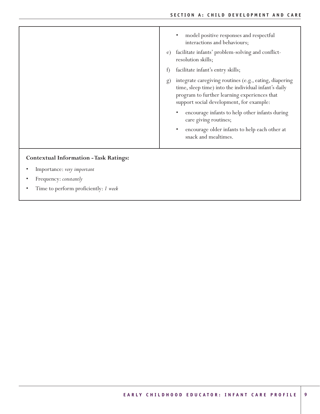| model positive responses and respectful<br>interactions and behaviours;<br>facilitate infants' problem-solving and conflict-<br>e)<br>resolution skills;                                                                                                             |
|----------------------------------------------------------------------------------------------------------------------------------------------------------------------------------------------------------------------------------------------------------------------|
| facilitate infant's entry skills;<br>f<br>integrate caregiving routines (e.g., eating, diapering<br>$\mathbf{g}$<br>time, sleep time) into the individual infant's daily<br>program to further learning experiences that<br>support social development, for example: |
| encourage infants to help other infants during<br>care giving routines;<br>encourage older infants to help each other at<br>$\bullet$<br>snack and mealtimes.                                                                                                        |

- Importance: *very important*
- Frequency: *constantly*
- Time to perform proficiently: *1 week*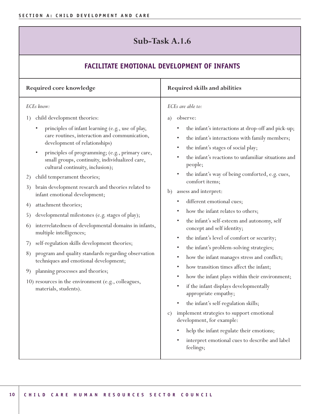# **Sub-Task A.1.6**

| Required core knowledge                                                                                                                                                                                                                                                                                                                                                                                                                                                                                                                                                                                                                                                                                                                                                                                                                                                                                                                                                   | <b>Required skills and abilities</b>                                                                                                                                                                                                                                                                                                                                                                                                                                                                                                                                                                                                                                                                                                                                                                                                                                                                                                                                                                                                            |
|---------------------------------------------------------------------------------------------------------------------------------------------------------------------------------------------------------------------------------------------------------------------------------------------------------------------------------------------------------------------------------------------------------------------------------------------------------------------------------------------------------------------------------------------------------------------------------------------------------------------------------------------------------------------------------------------------------------------------------------------------------------------------------------------------------------------------------------------------------------------------------------------------------------------------------------------------------------------------|-------------------------------------------------------------------------------------------------------------------------------------------------------------------------------------------------------------------------------------------------------------------------------------------------------------------------------------------------------------------------------------------------------------------------------------------------------------------------------------------------------------------------------------------------------------------------------------------------------------------------------------------------------------------------------------------------------------------------------------------------------------------------------------------------------------------------------------------------------------------------------------------------------------------------------------------------------------------------------------------------------------------------------------------------|
| ECEs know:<br>child development theories:<br>1)<br>principles of infant learning (e.g., use of play,<br>٠<br>care routines, interaction and communication,<br>development of relationships)<br>principles of programming; (e.g., primary care,<br>$\bullet$<br>small groups, continuity, individualized care,<br>cultural continuity, inclusion);<br>child temperament theories;<br>2)<br>brain development research and theories related to<br>3)<br>infant emotional development;<br>attachment theories;<br>4)<br>developmental milestones (e.g. stages of play);<br>5)<br>interrelatedness of developmental domains in infants,<br>6)<br>multiple intelligences;<br>self-regulation skills development theories;<br>$\left( 7\right)$<br>program and quality standards regarding observation<br>8)<br>techniques and emotional development;<br>planning processes and theories;<br>9)<br>10) resources in the environment (e.g., colleagues,<br>materials, students). | ECEs are able to:<br>observe:<br>a)<br>the infant's interactions at drop-off and pick-up;<br>the infant's interactions with family members;<br>the infant's stages of social play;<br>the infant's reactions to unfamiliar situations and<br>people;<br>the infant's way of being comforted, e.g. cues,<br>comfort items;<br>assess and interpret:<br>b)<br>different emotional cues;<br>how the infant relates to others;<br>the infant's self-esteem and autonomy, self<br>concept and self identity;<br>the infant's level of comfort or security;<br>the infant's problem-solving strategies;<br>how the infant manages stress and conflict;<br>how transition times affect the infant;<br>how the infant plays within their environment;<br>if the infant displays developmentally<br>appropriate empathy;<br>the infant's self-regulation skills;<br>c) implement strategies to support emotional<br>development, for example:<br>help the infant regulate their emotions;<br>interpret emotional cues to describe and label<br>feelings; |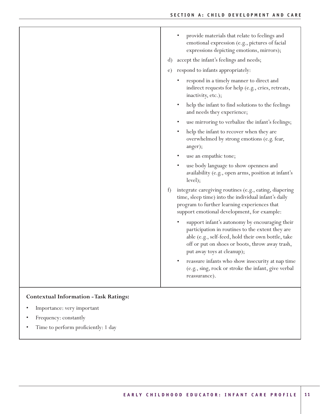| provide materials that relate to feelings and<br>emotional expression (e.g., pictures of facial<br>expressions depicting emotions, mirrors);<br>accept the infant's feelings and needs;<br>d)                                             |
|-------------------------------------------------------------------------------------------------------------------------------------------------------------------------------------------------------------------------------------------|
| respond to infants appropriately:<br>e)                                                                                                                                                                                                   |
| respond in a timely manner to direct and<br>indirect requests for help (e.g., cries, retreats,<br>inactivity, etc.);                                                                                                                      |
| help the infant to find solutions to the feelings<br>and needs they experience;                                                                                                                                                           |
| use mirroring to verbalize the infant's feelings;                                                                                                                                                                                         |
| help the infant to recover when they are<br>overwhelmed by strong emotions (e.g. fear,<br>anger);                                                                                                                                         |
| use an empathic tone;                                                                                                                                                                                                                     |
| use body language to show openness and<br>availability (e.g., open arms, position at infant's<br>level);                                                                                                                                  |
| integrate caregiving routines (e.g., eating, diapering<br>f<br>time, sleep time) into the individual infant's daily<br>program to further learning experiences that<br>support emotional development, for example:                        |
| support infant's autonomy by encouraging their<br>participation in routines to the extent they are<br>able (e.g., self-feed, hold their own bottle, take<br>off or put on shoes or boots, throw away trash,<br>put away toys at cleanup); |
| reassure infants who show insecurity at nap time<br>(e.g., sing, rock or stroke the infant, give verbal<br>reassurance).                                                                                                                  |

- Importance: very important
- Frequency: constantly
- Time to perform proficiently: 1 day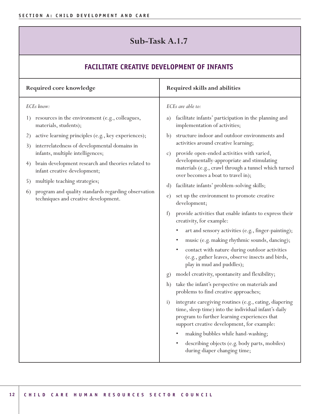# **Sub-Task A.1.7**

### **FACILITATE CREATIVE DEVELOPMENT OF INFANTS**

| Required core knowledge                                                                                                                                                                                                                                                                                                                                                                                                                                                                     | <b>Required skills and abilities</b>                                                                                                                                                                                                                                                                                                                                                                                                                                                                                                                                                                                                                                                                                                                                                                                                                                                                                                                                                                                                                                                                                                                                                                                                                                                                                                                                                                            |
|---------------------------------------------------------------------------------------------------------------------------------------------------------------------------------------------------------------------------------------------------------------------------------------------------------------------------------------------------------------------------------------------------------------------------------------------------------------------------------------------|-----------------------------------------------------------------------------------------------------------------------------------------------------------------------------------------------------------------------------------------------------------------------------------------------------------------------------------------------------------------------------------------------------------------------------------------------------------------------------------------------------------------------------------------------------------------------------------------------------------------------------------------------------------------------------------------------------------------------------------------------------------------------------------------------------------------------------------------------------------------------------------------------------------------------------------------------------------------------------------------------------------------------------------------------------------------------------------------------------------------------------------------------------------------------------------------------------------------------------------------------------------------------------------------------------------------------------------------------------------------------------------------------------------------|
| ECEs know:<br>resources in the environment (e.g., colleagues,<br>1)<br>materials, students);<br>active learning principles (e.g., key experiences);<br>2)<br>interrelatedness of developmental domains in<br>3)<br>infants, multiple intelligences;<br>brain development research and theories related to<br>4)<br>infant creative development;<br>multiple teaching strategies;<br>5)<br>program and quality standards regarding observation<br>6)<br>techniques and creative development. | ECEs are able to:<br>facilitate infants' participation in the planning and<br>a)<br>implementation of activities;<br>structure indoor and outdoor environments and<br>b)<br>activities around creative learning;<br>provide open-ended activities with varied,<br>C)<br>developmentally-appropriate and stimulating<br>materials (e.g., crawl through a tunnel which turned<br>over becomes a boat to travel in);<br>facilitate infants' problem-solving skills;<br>d)<br>set up the environment to promote creative<br>e)<br>development;<br>f<br>provide activities that enable infants to express their<br>creativity, for example:<br>art and sensory activities (e.g., finger-painting);<br>music (e.g. making rhythmic sounds, dancing);<br>٠<br>contact with nature during outdoor activities<br>(e.g., gather leaves, observe insects and birds,<br>play in mud and puddles);<br>model creativity, spontaneity and flexibility;<br>$\mathbf{g}$<br>take the infant's perspective on materials and<br>h)<br>problems to find creative approaches;<br>integrate caregiving routines (e.g., eating, diapering<br>$\mathbf{i}$<br>time, sleep time) into the individual infant's daily<br>program to further learning experiences that<br>support creative development, for example:<br>making bubbles while hand-washing;<br>describing objects (e.g. body parts, mobiles)<br>during diaper changing time; |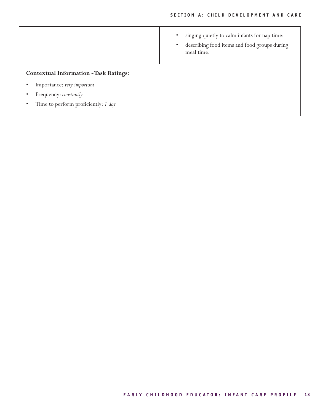|                                               | singing quietly to calm infants for nap time;<br>$\bullet$<br>describing food items and food groups during<br>$\bullet$<br>meal time. |
|-----------------------------------------------|---------------------------------------------------------------------------------------------------------------------------------------|
| <b>Contextual Information - Task Ratings:</b> |                                                                                                                                       |
| Importance: very important                    |                                                                                                                                       |
| Frequency: <i>constantly</i>                  |                                                                                                                                       |

Time to perform proficiently: *1 day*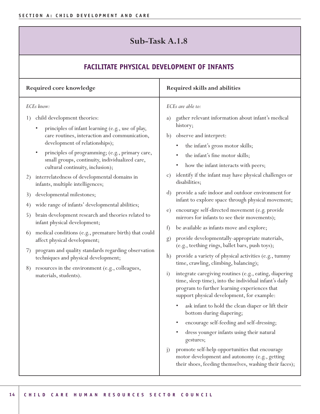# **Sub-Task A.1.8**

### **FACILITATE PHYSICAL DEVELOPMENT OF INFANTS**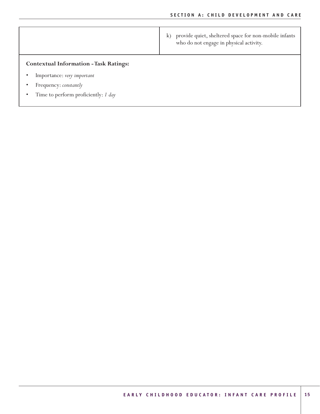k) provide quiet, sheltered space for non-mobile infants who do not engage in physical activity.

- Importance: *very important*
- Frequency: *constantly*
- Time to perform proficiently: *1 day*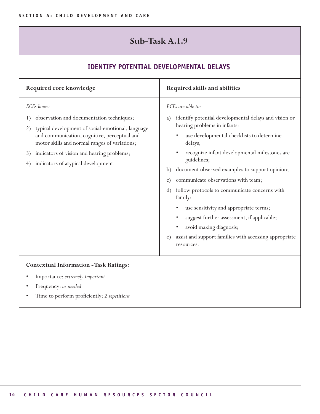# **Sub-Task A.1.9**

| Required core knowledge                                                                                                                                                                                                                                                                                                    | <b>Required skills and abilities</b>                                                                                                                                                                                                                                                                                                                                                                                                                                                                                                                                                                                                         |
|----------------------------------------------------------------------------------------------------------------------------------------------------------------------------------------------------------------------------------------------------------------------------------------------------------------------------|----------------------------------------------------------------------------------------------------------------------------------------------------------------------------------------------------------------------------------------------------------------------------------------------------------------------------------------------------------------------------------------------------------------------------------------------------------------------------------------------------------------------------------------------------------------------------------------------------------------------------------------------|
| ECEs know:<br>observation and documentation techniques;<br>1)<br>typical development of social-emotional, language<br>2)<br>and communication, cognitive, perceptual and<br>motor skills and normal ranges of variations;<br>indicators of vision and hearing problems;<br>3)<br>indicators of atypical development.<br>4) | ECEs are able to:<br>identify potential developmental delays and vision or<br>a)<br>hearing problems in infants:<br>use developmental checklists to determine<br>delays;<br>recognize infant developmental milestones are<br>guidelines;<br>document observed examples to support opinion;<br>b)<br>communicate observations with team;<br>$\mathcal{C}$ )<br>follow protocols to communicate concerns with<br>$\rm d$<br>family:<br>use sensitivity and appropriate terms;<br>٠<br>suggest further assessment, if applicable;<br>٠<br>avoid making diagnosis;<br>assist and support families with accessing appropriate<br>e)<br>resources. |

- Importance: *extremely important*
- Frequency: *as needed*
- Time to perform proficiently: *2 repetitions*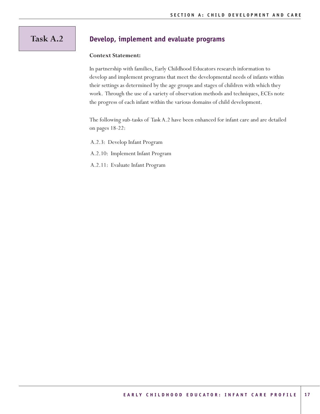# **Task A.2 Develop, implement and evaluate programs**

### **Context Statement:**

In partnership with families, Early Childhood Educators research information to develop and implement programs that meet the developmental needs of infants within their settings as determined by the age groups and stages of children with which they work. Through the use of a variety of observation methods and techniques, ECEs note the progress of each infant within the various domains of child development.

The following sub-tasks of Task A.2 have been enhanced for infant care and are detailed on pages 18-22:

A.2.3: Develop Infant Program

A.2.10: Implement Infant Program

A.2.11: Evaluate Infant Program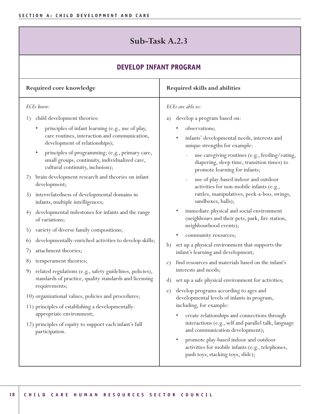# **Sub-Task A.2.3**

### **DEVELOP INFANT PROGRAM**

| Required core knowledge                                                                                                                                                                                                                                                                                                                                                                                                                                                                                                                                                                                                                                                                                                                                                                                                                                                                                                                                                                                                                                                                                                                                              | Required skills and abilities                                                                                                                                                                                                                                                                                                                                                                                                                                                                                                                                                                                                                                                                                                                                                                                                                                                                                                                                                                                                                                                                                                                                                                                                                                                                            |
|----------------------------------------------------------------------------------------------------------------------------------------------------------------------------------------------------------------------------------------------------------------------------------------------------------------------------------------------------------------------------------------------------------------------------------------------------------------------------------------------------------------------------------------------------------------------------------------------------------------------------------------------------------------------------------------------------------------------------------------------------------------------------------------------------------------------------------------------------------------------------------------------------------------------------------------------------------------------------------------------------------------------------------------------------------------------------------------------------------------------------------------------------------------------|----------------------------------------------------------------------------------------------------------------------------------------------------------------------------------------------------------------------------------------------------------------------------------------------------------------------------------------------------------------------------------------------------------------------------------------------------------------------------------------------------------------------------------------------------------------------------------------------------------------------------------------------------------------------------------------------------------------------------------------------------------------------------------------------------------------------------------------------------------------------------------------------------------------------------------------------------------------------------------------------------------------------------------------------------------------------------------------------------------------------------------------------------------------------------------------------------------------------------------------------------------------------------------------------------------|
| ECEs know:<br>child development theories:<br>1)<br>principles of infant learning (e.g., use of play,<br>care routines, interaction and communication,<br>development of relationships);<br>principles of programming; (e.g., primary care,<br>$\bullet$<br>small groups, continuity, individualized care,<br>cultural continuity, inclusion);<br>brain development research and theories on infant<br>2)<br>development;<br>interrelatedness of developmental domains in<br>3)<br>infants, multiple intelligences;<br>developmental milestones for infants and the range<br>4)<br>of variations;<br>variety of diverse family compositions;<br>5)<br>developmentally-enriched activities to develop skills;<br>$\Theta$<br>attachment theories;<br>$\left( 7\right)$<br>8)<br>temperament theories;<br>related regulations (e.g., safety guidelines, policies),<br>9)<br>standards of practice, quality standards and licensing<br>requirements;<br>10) organizational values, policies and procedures;<br>11) principles of establishing a developmentally-<br>appropriate environment;<br>12) principles of equity to support each infant's full<br>participation. | ECEs are able to:<br>develop a program based on:<br>a)<br>observations;<br>infants' developmental needs, interests and<br>unique strengths for example:<br>use caregiving routines (e.g., feeding/eating,<br>diapering, sleep time, transition times) to<br>promote learning for infants;<br>use of play-based indoor and outdoor<br>$\overline{\phantom{a}}$<br>activities for non-mobile infants (e.g.,<br>rattles, manipulatives, peek-a-boo, swings,<br>sandboxes, balls);<br>immediate physical and social environment<br>(neighbours and their pets, park, fire station,<br>neighbourhood events);<br>community resources;<br>set up a physical environment that supports the<br>b)<br>infant's learning and development;<br>find resources and materials based on the infant's<br>$\mathcal{C}$ )<br>interests and needs;<br>set up a safe physical environment for activities;<br>d)<br>develop programs according to ages and<br>e)<br>developmental levels of infants in program,<br>including, for example:<br>create relationships and connections through<br>interactions (e.g., self and parallel talk, language<br>and communication development);<br>promote play-based indoor and outdoor<br>٠<br>activities for mobile infants (e.g., telephones,<br>push toys, stacking toys, slide); |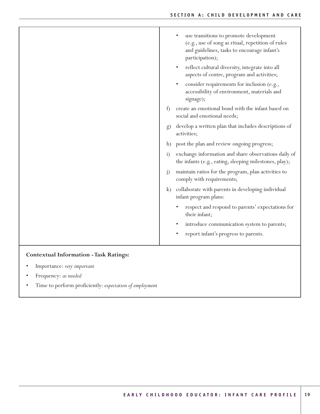| use transitions to promote development<br>(e.g., use of song as ritual, repetition of rules<br>and guidelines, tasks to encourage infant's<br>participation);<br>reflect cultural diversity, integrate into all<br>$\bullet$<br>aspects of centre, program and activities;<br>consider requirements for inclusion (e.g.,<br>$\bullet$<br>accessibility of environment, materials and<br>signage);<br>create an emotional bond with the infant based on<br>f<br>social and emotional needs;<br>develop a written plan that includes descriptions of<br>g)<br>activities;<br>post the plan and review ongoing progress;<br>h)<br>exchange information and share observations daily of<br>$\mathbf{i}$<br>the infants (e.g., eating, sleeping milestones, play);<br>maintain ratios for the program, plan activities to<br>j)<br>comply with requirements;<br>collaborate with parents in developing individual<br>$\bf k$<br>infant program plans:<br>respect and respond to parents' expectations for<br>their infant;<br>introduce communication system to parents;<br>٠ |
|--------------------------------------------------------------------------------------------------------------------------------------------------------------------------------------------------------------------------------------------------------------------------------------------------------------------------------------------------------------------------------------------------------------------------------------------------------------------------------------------------------------------------------------------------------------------------------------------------------------------------------------------------------------------------------------------------------------------------------------------------------------------------------------------------------------------------------------------------------------------------------------------------------------------------------------------------------------------------------------------------------------------------------------------------------------------------|
| report infant's progress to parents.                                                                                                                                                                                                                                                                                                                                                                                                                                                                                                                                                                                                                                                                                                                                                                                                                                                                                                                                                                                                                                     |

- Importance: *very important*
- Frequency: *as needed*
- Time to perform proficiently: *expectation of employment*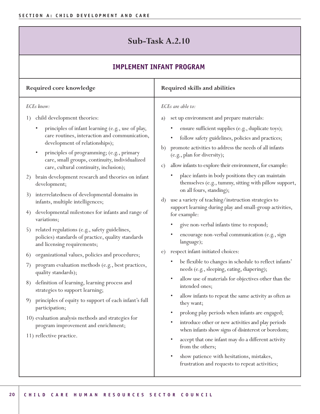# **Sub-Task A.2.10**

### **IMPLEMENT INFANT PROGRAM**

| Required core knowledge                                                                                                                                                                                                                                                                                                                                                                                                                                                                                                                                                                                                                                                                                                                                                                                                                                                                                                                                                                                                                                                                                                                                                                      | <b>Required skills and abilities</b>                                                                                                                                                                                                                                                                                                                                                                                                                                                                                                                                                                                                                                                                                                                                                                                                                                                                                                                                                                                                                                                                                                                                                                                                                                                                                                                                                                                                 |
|----------------------------------------------------------------------------------------------------------------------------------------------------------------------------------------------------------------------------------------------------------------------------------------------------------------------------------------------------------------------------------------------------------------------------------------------------------------------------------------------------------------------------------------------------------------------------------------------------------------------------------------------------------------------------------------------------------------------------------------------------------------------------------------------------------------------------------------------------------------------------------------------------------------------------------------------------------------------------------------------------------------------------------------------------------------------------------------------------------------------------------------------------------------------------------------------|--------------------------------------------------------------------------------------------------------------------------------------------------------------------------------------------------------------------------------------------------------------------------------------------------------------------------------------------------------------------------------------------------------------------------------------------------------------------------------------------------------------------------------------------------------------------------------------------------------------------------------------------------------------------------------------------------------------------------------------------------------------------------------------------------------------------------------------------------------------------------------------------------------------------------------------------------------------------------------------------------------------------------------------------------------------------------------------------------------------------------------------------------------------------------------------------------------------------------------------------------------------------------------------------------------------------------------------------------------------------------------------------------------------------------------------|
| ECEs know:<br>child development theories:<br>1)<br>principles of infant learning (e.g., use of play,<br>care routines, interaction and communication,<br>development of relationships);<br>principles of programming; (e.g., primary<br>$\bullet$<br>care, small groups, continuity, individualized<br>care, cultural continuity, inclusion);<br>brain development research and theories on infant<br>2)<br>development;<br>interrelatedness of developmental domains in<br>3)<br>infants, multiple intelligences;<br>developmental milestones for infants and range of<br>4)<br>variations;<br>related regulations (e.g., safety guidelines,<br>5)<br>policies) standards of practice, quality standards<br>and licensing requirements;<br>organizational values, policies and procedures;<br>$\Theta$<br>program evaluation methods (e.g., best practices,<br>7)<br>quality standards);<br>definition of learning, learning process and<br>8)<br>strategies to support learning;<br>principles of equity to support of each infant's full<br>9)<br>participation;<br>10) evaluation analysis methods and strategies for<br>program improvement and enrichment;<br>11) reflective practice. | ECEs are able to:<br>set up environment and prepare materials:<br>a)<br>ensure sufficient supplies (e.g., duplicate toys);<br>follow safety guidelines, policies and practices;<br>promote activities to address the needs of all infants<br>b)<br>(e.g., plan for diversity);<br>allow infants to explore their environment, for example:<br>$\mathcal{C}$<br>place infants in body positions they can maintain<br>themselves (e.g., tummy, sitting with pillow support,<br>on all fours, standing);<br>use a variety of teaching/instruction strategies to<br>d)<br>support learning during play and small-group activities,<br>for example:<br>give non-verbal infants time to respond;<br>٠<br>encourage non-verbal communication (e.g., sign<br>language);<br>respect infant-initiated choices:<br>e)<br>be flexible to changes in schedule to reflect infants'<br>needs (e.g., sleeping, eating, diapering);<br>allow use of materials for objectives other than the<br>intended ones;<br>allow infants to repeat the same activity as often as<br>$\bullet$<br>they want;<br>prolong play periods when infants are engaged;<br>introduce other or new activities and play periods<br>when infants show signs of disinterest or boredom;<br>accept that one infant may do a different activity<br>$\bullet$<br>from the others;<br>show patience with hesitations, mistakes,<br>frustration and requests to repeat activities; |
|                                                                                                                                                                                                                                                                                                                                                                                                                                                                                                                                                                                                                                                                                                                                                                                                                                                                                                                                                                                                                                                                                                                                                                                              |                                                                                                                                                                                                                                                                                                                                                                                                                                                                                                                                                                                                                                                                                                                                                                                                                                                                                                                                                                                                                                                                                                                                                                                                                                                                                                                                                                                                                                      |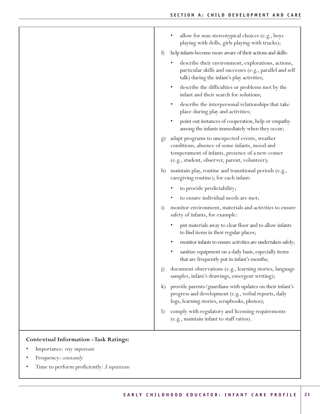|              | allow for non-stereotypical choices (e.g., boys<br>playing with dolls, girls playing with trucks);                                                                                                |
|--------------|---------------------------------------------------------------------------------------------------------------------------------------------------------------------------------------------------|
| $\mathbf{f}$ | help infants become more aware of their actions and skills:                                                                                                                                       |
|              | describe their environment, explorations, actions,<br>particular skills and successes (e.g., parallel and self<br>talk) during the infant's play activities;                                      |
|              | describe the difficulties or problems met by the<br>$\bullet$<br>infant and their search for solutions;                                                                                           |
|              | describe the interpersonal relationships that take<br>$\bullet$<br>place during play and activities;                                                                                              |
|              | point out instances of cooperation, help or empathy<br>٠<br>among the infants immediately when they occur;                                                                                        |
| $\mathbf{g}$ | adapt programs to unexpected events, weather<br>conditions, absence of some infants, mood and<br>temperament of infants, presence of a new-comer<br>(e.g., student, observer, parent, volunteer); |
| h)           | maintain play, routine and transitional periods (e.g.,<br>caregiving routine); for each infant:                                                                                                   |
|              | to provide predictability;                                                                                                                                                                        |
|              | to ensure individual needs are met;                                                                                                                                                               |
| $\mathbf{i}$ | monitor environment, materials and activities to ensure<br>safety of infants, for example:                                                                                                        |
|              | put materials away to clear floor and to allow infants<br>٠<br>to find items in their regular places;                                                                                             |
|              | monitor infants to ensure activities are undertaken safely;<br>٠                                                                                                                                  |
|              | sanitize equipment on a daily basis, especially items<br>that are frequently put in infant's mouths;                                                                                              |
| j)           | document observations (e.g., learning stories, language<br>samples, infant's drawings, emergent writing);                                                                                         |
| $\mathbf{k}$ | provide parents/guardians with updates on their infant's<br>progress and development (e.g., verbal reports, daily<br>logs, learning stories, scrapbooks, photos);                                 |
| $\vert$      | comply with regulatory and licensing requirements<br>(e.g., maintain infant to staff ratios).                                                                                                     |
|              |                                                                                                                                                                                                   |

- Importance: *very important*
- Frequency: *constantly*
- Time to perform proficiently: *3 repetitions*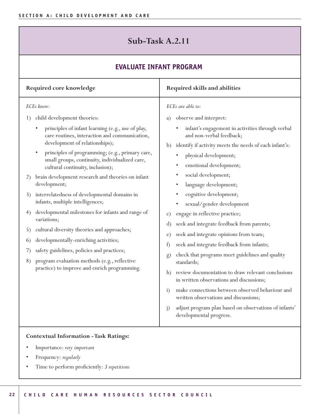# **Sub-Task A.2.11**

### **EVALUATE INFANT PROGRAM**

- Importance: *very important*
- Frequency: *regularly*
- Time to perform proficiently: *3 repetitions*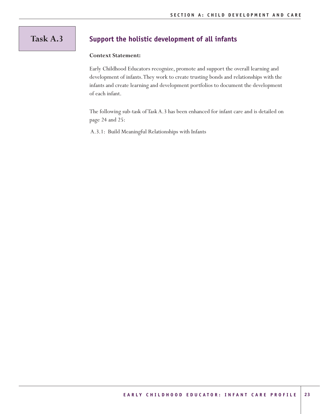# **Task A.3 Support the holistic development of all infants**

### **Context Statement:**

Early Childhood Educators recognize, promote and support the overall learning and development of infants. They work to create trusting bonds and relationships with the infants and create learning and development portfolios to document the development of each infant.

The following sub-task of Task A.3 has been enhanced for infant care and is detailed on page 24 and 25:

A.3.1: Build Meaningful Relationships with Infants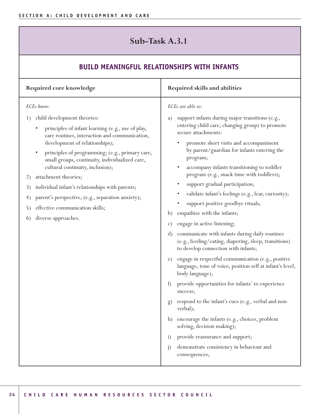# **Sub-Task A.3.1**

| Required core knowledge                                                                                                                                                                                                                                                                                                                                                                                                                                                                                                                                            | Required skills and abilities                                                                                                                                                                                                                                                                                                                                                                                                                                                                                                                                                                                                                                                                                                                                                                                                                                                                                                                                                                                                                                                                                                                                                                                                                                                            |
|--------------------------------------------------------------------------------------------------------------------------------------------------------------------------------------------------------------------------------------------------------------------------------------------------------------------------------------------------------------------------------------------------------------------------------------------------------------------------------------------------------------------------------------------------------------------|------------------------------------------------------------------------------------------------------------------------------------------------------------------------------------------------------------------------------------------------------------------------------------------------------------------------------------------------------------------------------------------------------------------------------------------------------------------------------------------------------------------------------------------------------------------------------------------------------------------------------------------------------------------------------------------------------------------------------------------------------------------------------------------------------------------------------------------------------------------------------------------------------------------------------------------------------------------------------------------------------------------------------------------------------------------------------------------------------------------------------------------------------------------------------------------------------------------------------------------------------------------------------------------|
| ECEs know:<br>child development theories:<br>1)<br>principles of infant learning (e.g., use of play,<br>٠<br>care routines, interaction and communication,<br>development of relationships);<br>principles of programming; (e.g., primary care,<br>٠<br>small groups, continuity, individualized care,<br>cultural continuity, inclusion);<br>attachment theories;<br>2)<br>individual infant's relationships with parents;<br>3)<br>parent's perspective, (e.g., separation anxiety);<br>4)<br>effective communication skills;<br>5)<br>diverse approaches.<br>6) | ECEs are able to:<br>support infants during major transitions (e.g.,<br>a)<br>entering child care, changing group) to promote<br>secure attachments:<br>promote short visits and accompaniment<br>by parent/guardian for infants entering the<br>program;<br>accompany infants transitioning to toddler<br>program (e.g., snack time with toddlers);<br>support gradual participation;<br>٠<br>validate infant's feelings (e.g., fear, curiosity);<br>support positive goodbye rituals;<br>empathize with the infants;<br>b)<br>engage in active listening;<br>$\mathcal{C}$ )<br>communicate with infants during daily routines<br>d)<br>(e.g., feeding/eating, diapering, sleep, transitions)<br>to develop connection with infants;<br>engage in respectful communication (e.g., positive<br>e)<br>language, tone of voice, position self at infant's level,<br>body language);<br>provide opportunities for infants' to experience<br>$\ddot{\phantom{1}}$<br>success;<br>respond to the infant's cues (e.g., verbal and non-<br>$\mathbf{g}$<br>verbal);<br>encourage the infants (e.g., choices, problem<br>h)<br>solving, decision making);<br>provide reassurance and support;<br>$\left( i\right)$<br>demonstrate consistency in behaviour and<br>$\mathbf{I}$<br>consequences; |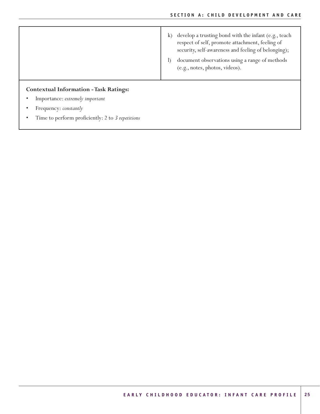|                                               | develop a trusting bond with the infant (e.g., teach<br>$\mathbf{k}$<br>respect of self, promote attachment, feeling of<br>security, self-awareness and feeling of belonging);<br>document observations using a range of methods<br>(e.g., notes, photos, videos). |
|-----------------------------------------------|--------------------------------------------------------------------------------------------------------------------------------------------------------------------------------------------------------------------------------------------------------------------|
| <b>Contextual Information - Task Ratings:</b> |                                                                                                                                                                                                                                                                    |

- Importance: *extremely important*
- Frequency: *constantly*
- Time to perform proficiently: 2 to *3 repetitions*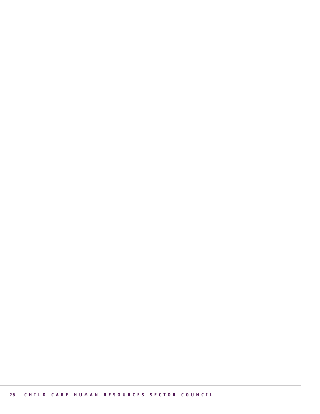### **C H I L D C A R E H U M A N R E S O U R C E S S E C T O R C O U N C I L**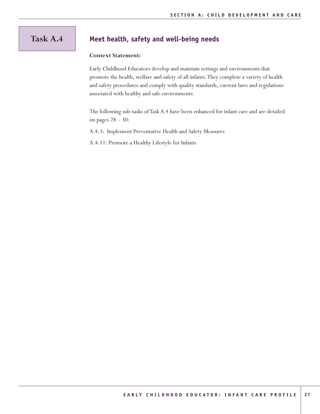# **Task A.4 Meet health, safety and well-being needs**

### **Context Statement:**

Early Childhood Educators develop and maintain settings and environments that promote the health, welfare and safety of all infants. They complete a variety of health and safety procedures and comply with quality standards, current laws and regulations associated with healthy and safe environments.

The following sub-tasks of Task A.4 have been enhanced for infant care and are detailed on pages 28 – 30:

A.4.3: Implement Preventative Health and Safety Measures

A.4.11: Promote a Healthy Lifestyle for Infants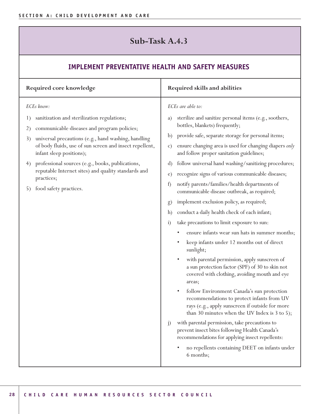# **Sub-Task A.4.3**

## **IMPLEMENT PREVENTATIVE HEALTH AND SAFETY MEASURES**

| Required core knowledge                                                                                                                                                                                                                                                                                                                                                                                                                 | Required skills and abilities                                                                                                                                                                                                                                                                                                                                                                                                                                                                                                                                                                                                                                                                                                                                                         |  |
|-----------------------------------------------------------------------------------------------------------------------------------------------------------------------------------------------------------------------------------------------------------------------------------------------------------------------------------------------------------------------------------------------------------------------------------------|---------------------------------------------------------------------------------------------------------------------------------------------------------------------------------------------------------------------------------------------------------------------------------------------------------------------------------------------------------------------------------------------------------------------------------------------------------------------------------------------------------------------------------------------------------------------------------------------------------------------------------------------------------------------------------------------------------------------------------------------------------------------------------------|--|
| ECEs know:<br>sanitization and sterilization regulations;<br>1)<br>2)<br>communicable diseases and program policies;<br>universal precautions (e.g., hand washing, handling<br>3)<br>of body fluids, use of sun screen and insect repellent,<br>infant sleep positions);<br>professional sources (e.g., books, publications,<br>4)<br>reputable Internet sites) and quality standards and<br>practices;<br>food safety practices.<br>5) | ECEs are able to:<br>sterilize and sanitize personal items (e.g., soothers,<br>a)<br>bottles, blankets) frequently;<br>provide safe, separate storage for personal items;<br>b)<br>ensure changing area is used for changing diapers only<br>C)<br>and follow proper sanitation guidelines;<br>follow universal hand washing/sanitizing procedures;<br>d)<br>recognize signs of various communicable diseases;<br>e)<br>notify parents/families/health departments of<br>f<br>communicable disease outbreak, as required;<br>implement exclusion policy, as required;<br>$\mathbf{g}$<br>conduct a daily health check of each infant;<br>h)                                                                                                                                           |  |
|                                                                                                                                                                                                                                                                                                                                                                                                                                         | take precautions to limit exposure to sun:<br>$\mathbf{i})$<br>ensure infants wear sun hats in summer months;<br>keep infants under 12 months out of direct<br>٠<br>sunlight;<br>with parental permission, apply sunscreen of<br>٠<br>a sun protection factor (SPF) of 30 to skin not<br>covered with clothing, avoiding mouth and eye<br>areas;<br>follow Environment Canada's sun protection<br>٠<br>recommendations to protect infants from UV<br>rays (e.g., apply sunscreen if outside for more<br>than 30 minutes when the UV Index is $3$ to $5$ );<br>with parental permission, take precautions to<br>j)<br>prevent insect bites following Health Canada's<br>recommendations for applying insect repellents:<br>no repellents containing DEET on infants under<br>6 months; |  |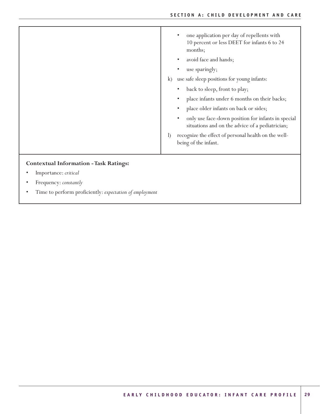| one application per day of repellents with<br>10 percent or less DEET for infants 6 to 24<br>months;  |
|-------------------------------------------------------------------------------------------------------|
| avoid face and hands;                                                                                 |
| use sparingly;                                                                                        |
| use safe sleep positions for young infants:<br>$\bf k$                                                |
| back to sleep, front to play;                                                                         |
| place infants under 6 months on their backs;                                                          |
| place older infants on back or sides;                                                                 |
| only use face-down position for infants in special<br>situations and on the advice of a pediatrician; |
| recognize the effect of personal health on the well-<br>$\mathbf{I}$<br>being of the infant.          |
|                                                                                                       |

- Importance: *critical*
- Frequency: *constantly*
- Time to perform proficiently: *expectation of employment*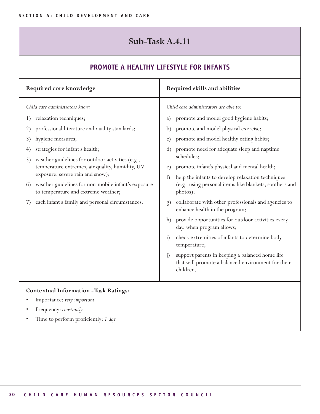# **Sub-Task A.4.11**

### **PROMOTE A HEALTHY LIFESTYLE FOR INFANTS**

| Required core knowledge                                                                                                                                                                                                                                                                                                                                                                                                                                                                                    | <b>Required skills and abilities</b>                                                                                                                                                                                                                                                                                                                                                                                                                                                                                                                                                                                                                                                                                                                                                                                                                                           |  |
|------------------------------------------------------------------------------------------------------------------------------------------------------------------------------------------------------------------------------------------------------------------------------------------------------------------------------------------------------------------------------------------------------------------------------------------------------------------------------------------------------------|--------------------------------------------------------------------------------------------------------------------------------------------------------------------------------------------------------------------------------------------------------------------------------------------------------------------------------------------------------------------------------------------------------------------------------------------------------------------------------------------------------------------------------------------------------------------------------------------------------------------------------------------------------------------------------------------------------------------------------------------------------------------------------------------------------------------------------------------------------------------------------|--|
| Child care administrators know:<br>relaxation techniques;<br>1)<br>professional literature and quality standards;<br>2)<br>3)<br>hygiene measures;<br>strategies for infant's health;<br>4)<br>weather guidelines for outdoor activities (e.g.,<br>5)<br>temperature extremes, air quality, humidity, UV<br>exposure, severe rain and snow);<br>weather guidelines for non-mobile infant's exposure<br>6)<br>to temperature and extreme weather;<br>each infant's family and personal circumstances.<br>7) | Child care administrators are able to:<br>promote and model good hygiene habits;<br>a)<br>promote and model physical exercise;<br>b)<br>promote and model healthy eating habits;<br>$\mathcal{C}$ )<br>promote need for adequate sleep and naptime<br>$\mathbf{d}$<br>schedules;<br>promote infant's physical and mental health;<br>e)<br>f<br>help the infants to develop relaxation techniques<br>(e.g., using personal items like blankets, soothers and<br>photos);<br>collaborate with other professionals and agencies to<br>$\mathbf{g}$<br>enhance health in the program;<br>provide opportunities for outdoor activities every<br>h)<br>day, when program allows;<br>check extremities of infants to determine body<br>i)<br>temperature;<br>support parents in keeping a balanced home life<br>j)<br>that will promote a balanced environment for their<br>children. |  |
|                                                                                                                                                                                                                                                                                                                                                                                                                                                                                                            |                                                                                                                                                                                                                                                                                                                                                                                                                                                                                                                                                                                                                                                                                                                                                                                                                                                                                |  |

- Importance: *very important*
- Frequency: *constantly*
- Time to perform proficiently: *1 day*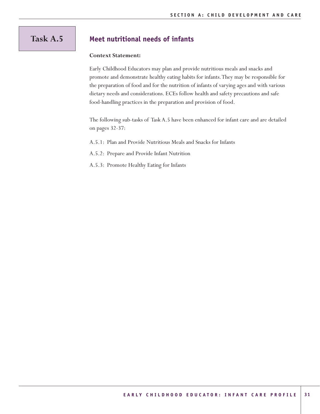# **Task A.5 Meet nutritional needs of infants**

### **Context Statement:**

Early Childhood Educators may plan and provide nutritious meals and snacks and promote and demonstrate healthy eating habits for infants. They may be responsible for the preparation of food and for the nutrition of infants of varying ages and with various dietary needs and considerations. ECEs follow health and safety precautions and safe food-handling practices in the preparation and provision of food.

The following sub-tasks of Task A.5 have been enhanced for infant care and are detailed on pages 32-37:

A.5.1: Plan and Provide Nutritious Meals and Snacks for Infants

- A.5.2: Prepare and Provide Infant Nutrition
- A.5.3: Promote Healthy Eating for Infants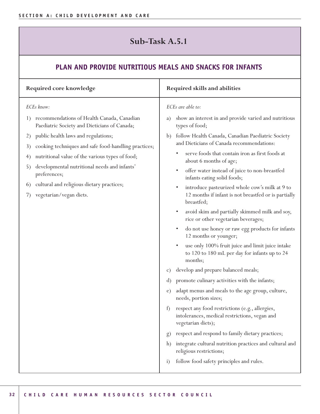# **Sub-Task A.5.1**

## **PLAN AND PROVIDE NUTRITIOUS MEALS AND SNACKS FOR INFANTS**

| Required core knowledge                                                                                                                                                                                                                                                             | <b>Required skills and abilities</b>                                                                                                                                                                                                                                                                                                                                                                                                                                                                                                                                                                                                                                                                                                                                                                                                                                                                                                                                                                                                                                                                                                                                                 |  |
|-------------------------------------------------------------------------------------------------------------------------------------------------------------------------------------------------------------------------------------------------------------------------------------|--------------------------------------------------------------------------------------------------------------------------------------------------------------------------------------------------------------------------------------------------------------------------------------------------------------------------------------------------------------------------------------------------------------------------------------------------------------------------------------------------------------------------------------------------------------------------------------------------------------------------------------------------------------------------------------------------------------------------------------------------------------------------------------------------------------------------------------------------------------------------------------------------------------------------------------------------------------------------------------------------------------------------------------------------------------------------------------------------------------------------------------------------------------------------------------|--|
| ECEs know:<br>recommendations of Health Canada, Canadian<br>1)<br>Paediatric Society and Dieticians of Canada;<br>public health laws and regulations;<br>2)                                                                                                                         | ECEs are able to:<br>show an interest in and provide varied and nutritious<br>a)<br>types of food;<br>follow Health Canada, Canadian Paediatric Society<br>b)<br>and Dieticians of Canada recommendations:                                                                                                                                                                                                                                                                                                                                                                                                                                                                                                                                                                                                                                                                                                                                                                                                                                                                                                                                                                           |  |
| cooking techniques and safe food-handling practices;<br>3)<br>nutritional value of the various types of food;<br>4)<br>developmental nutritional needs and infants'<br>5)<br>preferences;<br>cultural and religious dietary practices;<br>$\sigma$<br>vegetarian/vegan diets.<br>7) | serve foods that contain iron as first foods at<br>about 6 months of age;<br>offer water instead of juice to non-breastfed<br>$\bullet$<br>infants eating solid foods;<br>introduce pasteurized whole cow's milk at 9 to<br>٠<br>12 months if infant is not breastfed or is partially<br>breastfed;<br>avoid skim and partially skimmed milk and soy,<br>٠<br>rice or other vegetarian beverages;<br>do not use honey or raw egg products for infants<br>12 months or younger;<br>use only 100% fruit juice and limit juice intake<br>$\bullet$<br>to 120 to 180 mL per day for infants up to 24<br>months;<br>develop and prepare balanced meals;<br>$\mathcal{C}$ )<br>promote culinary activities with the infants;<br>$\mathbf{d}$<br>adapt menus and meals to the age group, culture,<br>e)<br>needs, portion sizes;<br>respect any food restrictions (e.g., allergies,<br>f<br>intolerances, medical restrictions, vegan and<br>vegetarian diets);<br>respect and respond to family dietary practices;<br>$\mathbf{g}$<br>integrate cultural nutrition practices and cultural and<br>h)<br>religious restrictions;<br>follow food safety principles and rules.<br>$\mathbf{i}$ |  |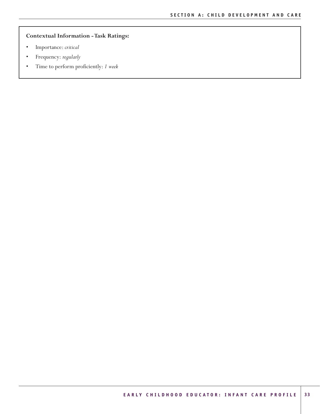- Importance: *critical*
- Frequency: *regularly*
- Time to perform proficiently: *1 week*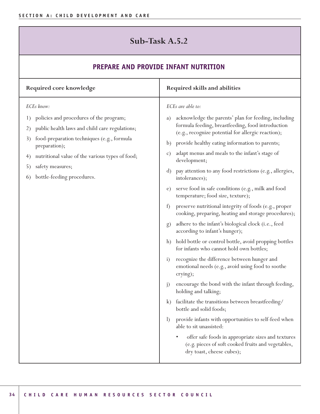# **Sub-Task A.5.2**

### **PREPARE AND PROVIDE INFANT NUTRITION**

| ECEs know:<br>ECEs are able to:<br>policies and procedures of the program;<br>1)<br>a)<br>public health laws and child care regulations;<br>2)<br>food-preparation techniques (e.g., formula<br>3)<br>b)<br>preparation);<br>C)<br>nutritional value of the various types of food;<br>4)<br>safety measures;<br>5)<br>d)<br>bottle-feeding procedures.<br>6)<br>e)<br>f<br>g)<br>h)<br>$\mathbf{i}$<br>crying);<br>j)<br>$\mathbf{k}$<br>$\vert$ | acknowledge the parents' plan for feeding, including<br>formula feeding, breastfeeding, food introduction<br>(e.g., recognize potential for allergic reaction);<br>provide healthy eating information to parents;<br>adapt menus and meals to the infant's stage of<br>development;<br>pay attention to any food restrictions (e.g., allergies,<br>intolerances);<br>serve food in safe conditions (e.g., milk and food<br>temperature; food size, texture);<br>preserve nutritional integrity of foods (e.g., proper<br>cooking, preparing, heating and storage procedures);<br>adhere to the infant's biological clock (i.e., feed<br>according to infant's hunger);<br>hold bottle or control bottle, avoid propping bottles<br>for infants who cannot hold own bottles;<br>recognize the difference between hunger and<br>emotional needs (e.g., avoid using food to soothe<br>encourage the bond with the infant through feeding,<br>holding and talking;<br>facilitate the transitions between breastfeeding/<br>bottle and solid foods;<br>provide infants with opportunities to self-feed when<br>able to sit unassisted:<br>offer safe foods in appropriate sizes and textures<br>(e.g. pieces of soft cooked fruits and vegetables,<br>dry toast, cheese cubes); |
|--------------------------------------------------------------------------------------------------------------------------------------------------------------------------------------------------------------------------------------------------------------------------------------------------------------------------------------------------------------------------------------------------------------------------------------------------|----------------------------------------------------------------------------------------------------------------------------------------------------------------------------------------------------------------------------------------------------------------------------------------------------------------------------------------------------------------------------------------------------------------------------------------------------------------------------------------------------------------------------------------------------------------------------------------------------------------------------------------------------------------------------------------------------------------------------------------------------------------------------------------------------------------------------------------------------------------------------------------------------------------------------------------------------------------------------------------------------------------------------------------------------------------------------------------------------------------------------------------------------------------------------------------------------------------------------------------------------------------------------|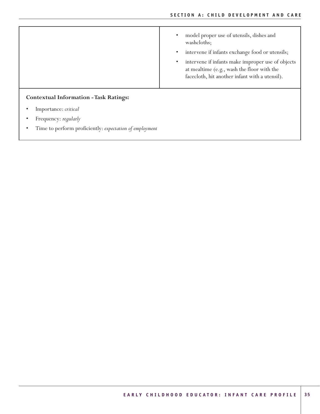|                                               | model proper use of utensils, dishes and<br>washcloths;<br>intervene if infants exchange food or utensils;<br>intervene if infants make improper use of objects<br>٠<br>at mealtime (e.g., wash the floor with the<br>facecloth, hit another infant with a utensil). |
|-----------------------------------------------|----------------------------------------------------------------------------------------------------------------------------------------------------------------------------------------------------------------------------------------------------------------------|
| <b>Contextual Information - Task Ratings:</b> |                                                                                                                                                                                                                                                                      |

### Importance: *critical*

- Frequency: *regularly*
- Time to perform proficiently: *expectation of employment*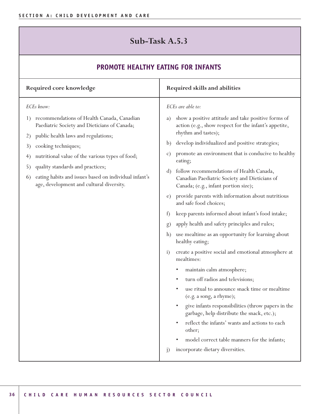# **Sub-Task A.5.3**

### **PROMOTE HEALTHY EATING FOR INFANTS**

| Required core knowledge                                                                                                                                                                                                                                 | <b>Required skills and abilities</b>                                                                                                                                                                                                                                                                                                                                                                                                                                                                                                                                                                                                                                                                                                                                                                                                                                                                                                                                           |
|---------------------------------------------------------------------------------------------------------------------------------------------------------------------------------------------------------------------------------------------------------|--------------------------------------------------------------------------------------------------------------------------------------------------------------------------------------------------------------------------------------------------------------------------------------------------------------------------------------------------------------------------------------------------------------------------------------------------------------------------------------------------------------------------------------------------------------------------------------------------------------------------------------------------------------------------------------------------------------------------------------------------------------------------------------------------------------------------------------------------------------------------------------------------------------------------------------------------------------------------------|
| ECEs know:<br>recommendations of Health Canada, Canadian<br>1)<br>Paediatric Society and Dieticians of Canada;<br>public health laws and regulations;<br>2)<br>cooking techniques;<br>3)<br>nutritional value of the various types of food;<br>$^{(4)}$ | ECEs are able to:<br>show a positive attitude and take positive forms of<br>a)<br>action (e.g., show respect for the infant's appetite,<br>rhythm and tastes);<br>develop individualized and positive strategies;<br>b)<br>promote an environment that is conducive to healthy<br>$\mathcal{C}$ )<br>eating;                                                                                                                                                                                                                                                                                                                                                                                                                                                                                                                                                                                                                                                                   |
| quality standards and practices;<br>5)<br>eating habits and issues based on individual infant's<br>6)<br>age, development and cultural diversity.                                                                                                       | follow recommendations of Health Canada,<br>$\mathbf{d}$<br>Canadian Paediatric Society and Dieticians of<br>Canada; (e.g., infant portion size);<br>provide parents with information about nutritious<br>e)<br>and safe food choices;<br>keep parents informed about infant's food intake;<br>$\ddot{\phantom{1}}$<br>apply health and safety principles and rules;<br>$\mathbf{g}$<br>use mealtime as an opportunity for learning about<br>h)<br>healthy eating;<br>create a positive social and emotional atmosphere at<br>$\mathbf{i}$<br>mealtimes:<br>maintain calm atmosphere;<br>٠<br>turn off radios and televisions;<br>٠<br>use ritual to announce snack time or mealtime<br>٠<br>(e.g. a song, a rhyme);<br>give infants responsibilities (throw papers in the<br>garbage, help distribute the snack, etc.);<br>reflect the infants' wants and actions to each<br>other;<br>model correct table manners for the infants;<br>incorporate dietary diversities.<br>j) |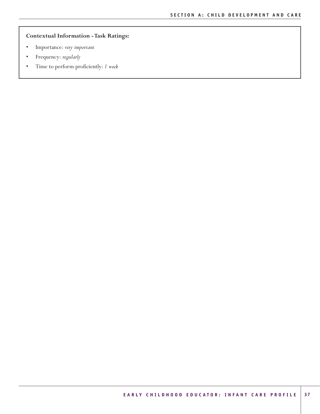- Importance: *very important*
- Frequency: *regularly*
- Time to perform proficiently: *1 week*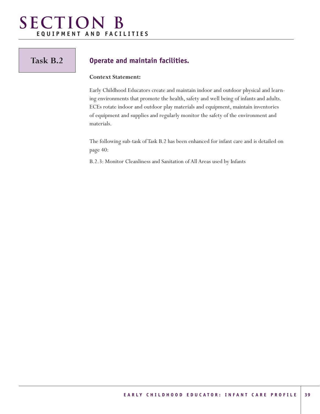# **Task B.2 Operate and maintain facilities.**

### **Context Statement:**

Early Childhood Educators create and maintain indoor and outdoor physical and learning environments that promote the health, safety and well being of infants and adults. ECEs rotate indoor and outdoor play materials and equipment, maintain inventories of equipment and supplies and regularly monitor the safety of the environment and materials.

The following sub-task of Task B.2 has been enhanced for infant care and is detailed on page 40:

B.2.3: Monitor Cleanliness and Sanitation of All Areas used by Infants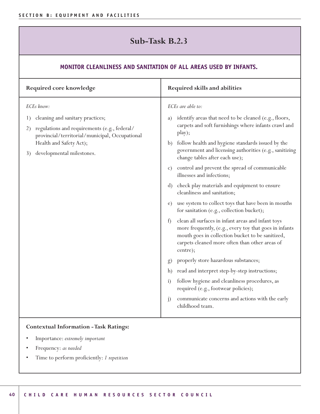# **Sub-Task B.2.3**

| MONITOR CLEANLINESS AND SANITATION OF ALL AREAS USED BY INFANTS.                                                                                                                                                                                                                                                                     |                                                                                                                                                                                                                                                                                                                                                                                                                                                                                                                                                                                                                                                                                                                                                                                                                                                                                                                                                                                            |
|--------------------------------------------------------------------------------------------------------------------------------------------------------------------------------------------------------------------------------------------------------------------------------------------------------------------------------------|--------------------------------------------------------------------------------------------------------------------------------------------------------------------------------------------------------------------------------------------------------------------------------------------------------------------------------------------------------------------------------------------------------------------------------------------------------------------------------------------------------------------------------------------------------------------------------------------------------------------------------------------------------------------------------------------------------------------------------------------------------------------------------------------------------------------------------------------------------------------------------------------------------------------------------------------------------------------------------------------|
| Required core knowledge                                                                                                                                                                                                                                                                                                              | Required skills and abilities                                                                                                                                                                                                                                                                                                                                                                                                                                                                                                                                                                                                                                                                                                                                                                                                                                                                                                                                                              |
| ECEs know:<br>ECEs are able to:                                                                                                                                                                                                                                                                                                      |                                                                                                                                                                                                                                                                                                                                                                                                                                                                                                                                                                                                                                                                                                                                                                                                                                                                                                                                                                                            |
| cleaning and sanitary practices;<br>1)<br>a)<br>regulations and requirements (e.g., federal/<br>2)<br>play);<br>provincial/territorial/municipal, Occupational<br>Health and Safety Act);<br>b)<br>developmental milestones.<br>3)<br>C)<br>(b<br>e)<br>f<br>centre);<br>$\mathbf{g}$<br>h)<br>$\mathbf{i}$<br>j)<br>childhood team. | identify areas that need to be cleaned (e.g., floors,<br>carpets and soft furnishings where infants crawl and<br>follow health and hygiene standards issued by the<br>government and licensing authorities (e.g., sanitizing<br>change tables after each use);<br>control and prevent the spread of communicable<br>illnesses and infections;<br>check play materials and equipment to ensure<br>cleanliness and sanitation;<br>use system to collect toys that have been in mouths<br>for sanitation (e.g., collection bucket);<br>clean all surfaces in infant areas and infant toys<br>more frequently, (e.g., every toy that goes in infants<br>mouth goes in collection bucket to be sanitized,<br>carpets cleaned more often than other areas of<br>properly store hazardous substances;<br>read and interpret step-by-step instructions;<br>follow hygiene and cleanliness procedures, as<br>required (e.g., footwear policies);<br>communicate concerns and actions with the early |

- Importance: *extremely important*
- Frequency: *as needed*
- Time to perform proficiently: *1 repetition*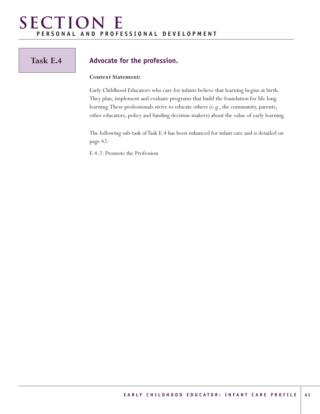# **Task E.4 Advocate for the profession.**

### **Context Statement:**

Early Childhood Educators who care for infants believe that learning begins at birth. They plan, implement and evaluate programs that build the foundation for life long learning. These professionals strive to educate others (e.g., the community, parents, other educators, policy and funding decision-makers) about the value of early learning.

The following sub-task of Task E.4 has been enhanced for infant care and is detailed on page 42:

E.4.2: Promote the Profession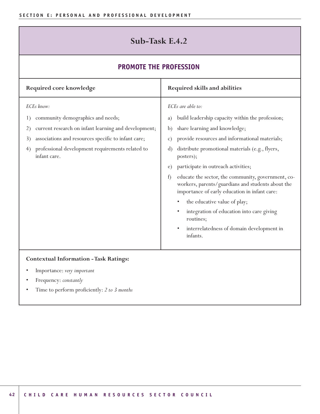# **Sub-Task E.4.2**

### **PROMOTE THE PROFESSION**

| Required core knowledge                                                                                                                                                                                                                                    | Required skills and abilities                                                                                                                                                                                                                                                                                                                                                                                                                                                                                                                                                                                                            |
|------------------------------------------------------------------------------------------------------------------------------------------------------------------------------------------------------------------------------------------------------------|------------------------------------------------------------------------------------------------------------------------------------------------------------------------------------------------------------------------------------------------------------------------------------------------------------------------------------------------------------------------------------------------------------------------------------------------------------------------------------------------------------------------------------------------------------------------------------------------------------------------------------------|
| ECEs know:<br>community demographics and needs;<br>1)<br>current research on infant learning and development;<br>2)<br>associations and resources specific to infant care;<br>3)<br>professional development requirements related to<br>4)<br>infant care. | ECEs are able to:<br>build leadership capacity within the profession;<br>a)<br>share learning and knowledge;<br>b)<br>provide resources and informational materials;<br>$\mathcal{C}$ )<br>distribute promotional materials (e.g., flyers,<br>$\rm d$<br>posters);<br>participate in outreach activities;<br>e)<br>educate the sector, the community, government, co-<br>f<br>workers, parents/guardians and students about the<br>importance of early education in infant care:<br>the educative value of play;<br>integration of education into care giving<br>٠<br>routines;<br>interrelatedness of domain development in<br>infants. |
| <b>Contextual Information - Task Ratings:</b>                                                                                                                                                                                                              |                                                                                                                                                                                                                                                                                                                                                                                                                                                                                                                                                                                                                                          |

- Importance: *very important*
- Frequency: *constantly*
- Time to perform proficiently: *2 to 3 months*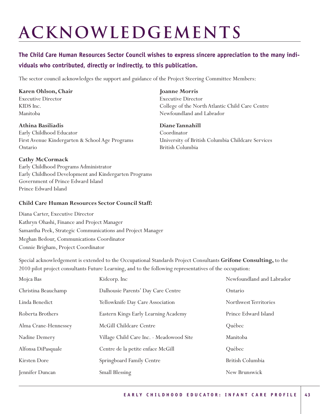# **ACKNOWLEDGEMENTS**

# **The Child Care Human Resources Sector Council wishes to express sincere appreciation to the many individuals who contributed, directly or indirectly, to this publication.**

**Joanne Morris**  Executive Director

**Diane Tannahill**  Coordinator

British Columbia

Newfoundland and Labrador

College of the North Atlantic Child Care Centre

University of British Columbia Childcare Services

The sector council acknowledges the support and guidance of the Project Steering Committee Members:

### **Karen Ohlson, Chair**

Executive Director KIDS Inc. Manitoba

### **Athina Basiliadis**

Early Childhood Educator First Avenue Kindergarten & School Age Programs Ontario

### **Cathy McCormack**

Early Childhood Programs Administrator Early Childhood Development and Kindergarten Programs Government of Prince Edward Island Prince Edward Island

### **Child Care Human Resources Sector Council Staff:**

Diana Carter, Executive Director Kathryn Ohashi, Finance and Project Manager Samantha Peek, Strategic Communications and Project Manager Meghan Bedour, Communications Coordinator Connie Brigham, Project Coordinator

Special acknowledgement is extended to the Occupational Standards Project Consultants **Grifone Consulting,** to the 2010 pilot project consultants Future Learning, and to the following representatives of the occupation:

| Mojca Bas            | Kidcorp. Inc                             | Newfoundland and Labrador |
|----------------------|------------------------------------------|---------------------------|
| Christina Beauchamp  | Dalhousie Parents' Day Care Centre       | Ontario                   |
| Linda Benedict       | Yellowknife Day Care Association         | Northwest Territories     |
| Roberta Brothers     | Eastern Kings Early Learning Academy     | Prince Edward Island      |
| Alma Crane-Hennessey | McGill Childcare Centre                  | Québec                    |
| Nadine Demery        | Village Child Care Inc. - Meadowood Site | Manitoba                  |
| Alfonsa DiPasquale   | Centre de la petite enface McGill        | Québec                    |
| Kirsten Dore         | Springboard Family Centre                | British Columbia          |
| Jennifer Duncan      | <b>Small Blessing</b>                    | New Brunswick             |